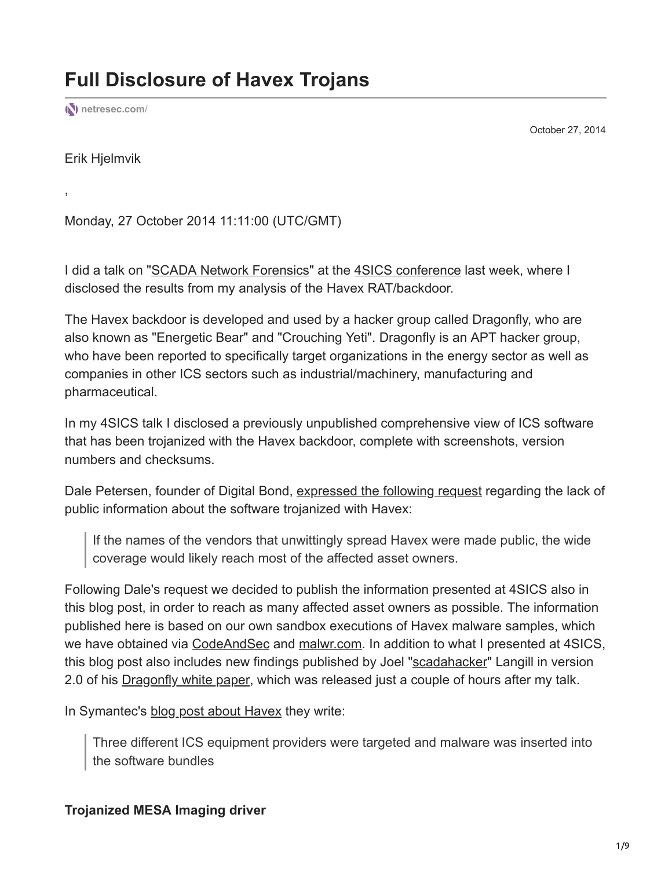**[netresec.com](http://www.netresec.com/?page=Blog&month=2014-10&post=Full-Disclosure-of-Havex-Trojans)**/

October 27, 2014

Erik Hjelmvik

,

Monday, 27 October 2014 11:11:00 (UTC/GMT)

I did a talk on "[SCADA Network Forensics](http://www.netresec.com/files/4SICS_SCADA_Network_Forensics_NETRESEC.pdf)" at the [4SICS conference](http://4sics.se/) last week, where I disclosed the results from my analysis of the Havex RAT/backdoor.

The Havex backdoor is developed and used by a hacker group called Dragonfly, who are also known as "Energetic Bear" and "Crouching Yeti". Dragonfly is an APT hacker group, who have been reported to specifically target organizations in the energy sector as well as companies in other ICS sectors such as industrial/machinery, manufacturing and pharmaceutical.

In my 4SICS talk I disclosed a previously unpublished comprehensive view of ICS software that has been trojanized with the Havex backdoor, complete with screenshots, version numbers and checksums.

Dale Petersen, founder of Digital Bond, [expressed the following request](http://www.digitalbond.com/blog/2014/07/02/havex-hype-unhelpful-mystery/) regarding the lack of public information about the software trojanized with Havex:

If the names of the vendors that unwittingly spread Havex were made public, the wide coverage would likely reach most of the affected asset owners.

Following Dale's request we decided to publish the information presented at 4SICS also in this blog post, in order to reach as many affected asset owners as possible. The information published here is based on our own sandbox executions of Havex malware samples, which we have obtained via [CodeAndSec](https://twitter.com/CodeAndSec) and [malwr.com.](https://malwr.com/) In addition to what I presented at 4SICS, this blog post also includes new findings published by Joel ["scadahacker](http://twitter.com/scadahacker)" Langill in version 2.0 of his **Dragonfly white paper**, which was released just a couple of hours after my talk.

In Symantec's [blog post about Havex](http://www.symantec.com/connect/blogs/dragonfly-western-energy-companies-under-sabotage-threat) they write:

Three different ICS equipment providers were targeted and malware was inserted into the software bundles

**Trojanized MESA Imaging driver**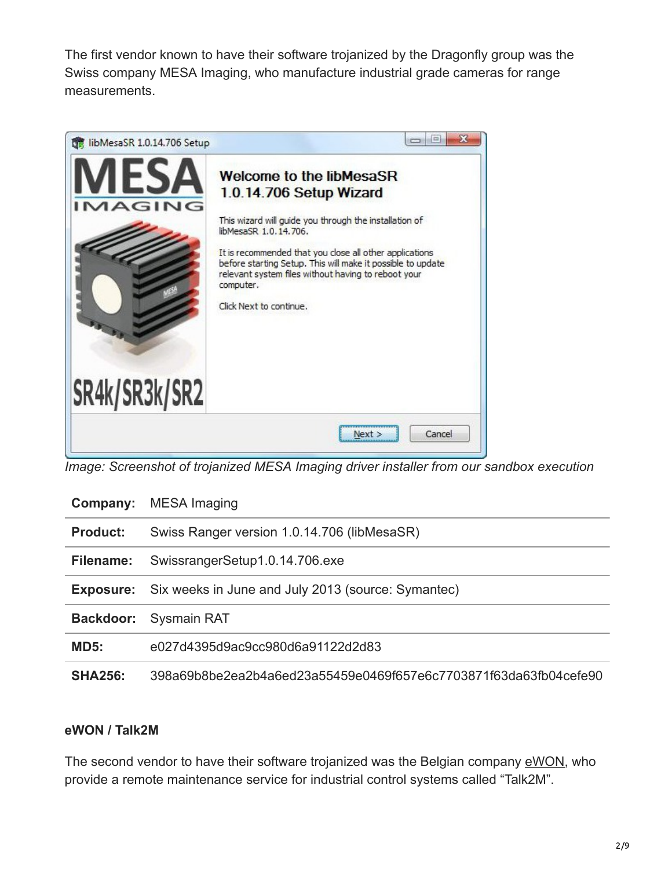The first vendor known to have their software trojanized by the Dragonfly group was the Swiss company MESA Imaging, who manufacture industrial grade cameras for range measurements.



*Image: Screenshot of trojanized MESA Imaging driver installer from our sandbox execution*

| Company:         | MESA Imaging                                                     |
|------------------|------------------------------------------------------------------|
| <b>Product:</b>  | Swiss Ranger version 1.0.14.706 (libMesaSR)                      |
| Filename:        | SwissrangerSetup1.0.14.706.exe                                   |
| Exposure:        | Six weeks in June and July 2013 (source: Symantec)               |
| <b>Backdoor:</b> | <b>Sysmain RAT</b>                                               |
| MD5:             | e027d4395d9ac9cc980d6a91122d2d83                                 |
| <b>SHA256:</b>   | 398a69b8be2ea2b4a6ed23a55459e0469f657e6c7703871f63da63fb04cefe90 |

#### **eWON / Talk2M**

The second vendor to have their software trojanized was the Belgian company [eWON](http://www.ewon.biz/), who provide a remote maintenance service for industrial control systems called "Talk2M".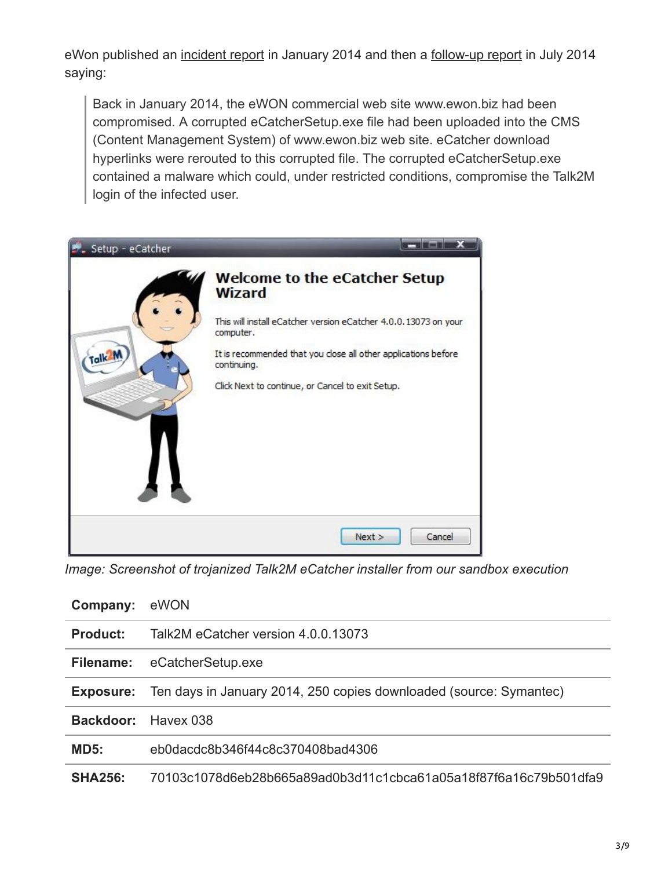eWon published an [incident report](http://www.ewon.biz/en/talk2m-incident-report.html?cmp_id=7&news_id=4860) in January 2014 and then a [follow-up report](http://www.ewon.biz/en/january-security-incident-follow-up-report.html?cmp_id=7&news_id=4900) in July 2014 saying:

Back in January 2014, the eWON commercial web site www.ewon.biz had been compromised. A corrupted eCatcherSetup.exe file had been uploaded into the CMS (Content Management System) of www.ewon.biz web site. eCatcher download hyperlinks were rerouted to this corrupted file. The corrupted eCatcherSetup.exe contained a malware which could, under restricted conditions, compromise the Talk2M login of the infected user.



*Image: Screenshot of trojanized Talk2M eCatcher installer from our sandbox execution*

| Company:            | eWON                                                               |
|---------------------|--------------------------------------------------------------------|
| <b>Product:</b>     | Talk2M eCatcher version 4.0.0.13073                                |
| Filename:           | eCatcherSetup.exe                                                  |
| Exposure:           | Ten days in January 2014, 250 copies downloaded (source: Symantec) |
| Backdoor: Havex 038 |                                                                    |
| MD5:                | eb0dacdc8b346f44c8c370408bad4306                                   |
| <b>SHA256:</b>      | .70103c1078d6eb28b665a89ad0b3d11c1cbca61a05a18f87f6a16c79b501dfa9  |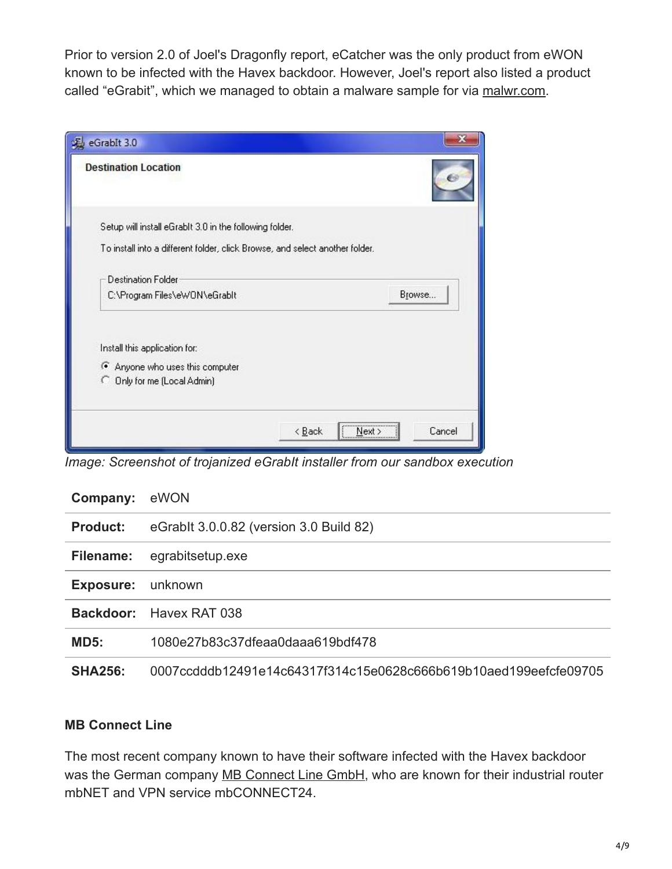Prior to version 2.0 of Joel's Dragonfly report, eCatcher was the only product from eWON known to be infected with the Havex backdoor. However, Joel's report also listed a product called "eGrabit", which we managed to obtain a malware sample for via [malwr.com](https://malwr.com/analysis/ZTlhZmM5YjY5NTk2NDA1Nzg3ZDBkOTIyMzk1ZWNhZmU/).

| <b>Destination Location</b>                                                  |        |
|------------------------------------------------------------------------------|--------|
| Setup will install eGrabIt 3.0 in the following folder.                      |        |
| To install into a different folder, click Browse, and select another folder. |        |
| <b>Destination Folder</b>                                                    |        |
| C:\Program Files\eWON\eGrabIt                                                | Browse |
|                                                                              |        |
|                                                                              |        |
| Install this application for:<br>Anyone who uses this computer               |        |
| C Only for me [Local Admin]                                                  |        |

*Image: Screenshot of trojanized eGrabIt installer from our sandbox execution*

| Company:         | eWON                                                             |
|------------------|------------------------------------------------------------------|
| <b>Product:</b>  | eGrabIt 3.0.0.82 (version 3.0 Build 82)                          |
| Filename:        | egrabitsetup.exe                                                 |
| <b>Exposure:</b> | unknown                                                          |
|                  | Backdoor: Havex RAT 038                                          |
| MD5:             | 1080e27b83c37dfeaa0daaa619bdf478                                 |
| <b>SHA256:</b>   | 0007ccdddb12491e14c64317f314c15e0628c666b619b10aed199eefcfe09705 |

#### **MB Connect Line**

The most recent company known to have their software infected with the Havex backdoor was the German company [MB Connect Line GmbH](http://www.mbconnectline.com/index.php/en/), who are known for their industrial router mbNET and VPN service mbCONNECT24.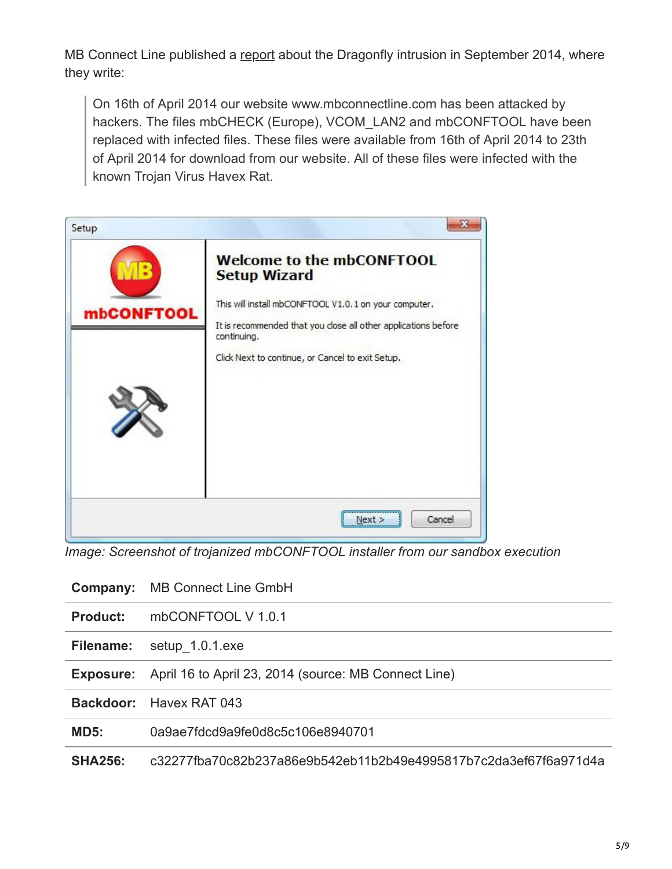MB Connect Line published a [report](http://mbconnectline.com/index.php/en/news2/item/abschlussbericht-zum-hacker-angriff-im-april-2014) about the Dragonfly intrusion in September 2014, where they write:

On 16th of April 2014 our website www.mbconnectline.com has been attacked by hackers. The files mbCHECK (Europe), VCOM\_LAN2 and mbCONFTOOL have been replaced with infected files. These files were available from 16th of April 2014 to 23th of April 2014 for download from our website. All of these files were infected with the known Trojan Virus Havex Rat.



*Image: Screenshot of trojanized mbCONFTOOL installer from our sandbox execution*

| Company:        | <b>MB Connect Line GmbH</b>                                      |
|-----------------|------------------------------------------------------------------|
| <b>Product:</b> | mbCONFTOOL V 1.0.1                                               |
| Filename:       | setup 1.0.1.exe                                                  |
| Exposure:       | April 16 to April 23, 2014 (source: MB Connect Line)             |
|                 | <b>Backdoor:</b> Havex RAT 043                                   |
| MD5:            | 0a9ae7fdcd9a9fe0d8c5c106e8940701                                 |
| <b>SHA256:</b>  | c32277fba70c82b237a86e9b542eb11b2b49e4995817b7c2da3ef67f6a971d4a |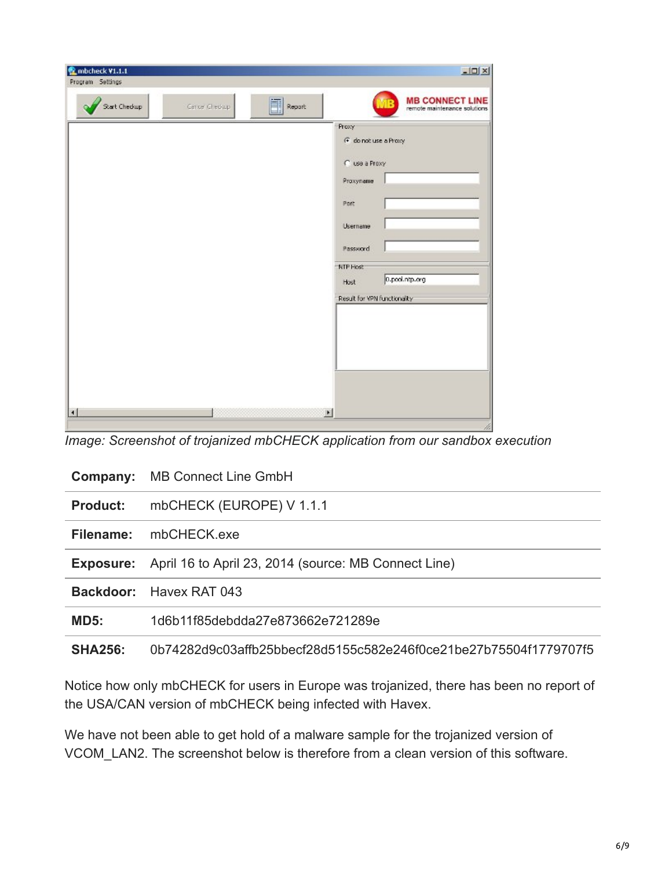| mbcheck V1.1.1<br>Program Settings |               |                    |                                                                                                                                                        | $-10 \times$                                           |
|------------------------------------|---------------|--------------------|--------------------------------------------------------------------------------------------------------------------------------------------------------|--------------------------------------------------------|
| Start Checkup                      | Caros Checkup | <b>Fill</b> Report |                                                                                                                                                        | <b>MB CONNECT LINE</b><br>remote maintenance solutions |
|                                    |               |                    | Proxy<br>F do not use a Proxy<br>C use a Proxy<br>Proxyname<br>Port<br>Username<br>Password<br><b>NTP Host</b><br>Host<br>Result for VPN functionality | 0.pool.ntp.org                                         |
| $\vert \cdot \vert$                |               |                    | $\blacktriangleright$                                                                                                                                  |                                                        |

*Image: Screenshot of trojanized mbCHECK application from our sandbox execution*

| Company:        | <b>MB Connect Line GmbH</b>                          |
|-----------------|------------------------------------------------------|
| <b>Product:</b> | mbCHECK (EUROPE) V 1.1.1                             |
| Filename:       | mbCHECK.exe                                          |
| Exposure:       | April 16 to April 23, 2014 (source: MB Connect Line) |
|                 | <b>Backdoor:</b> Havex RAT 043                       |
| <b>MD5:</b>     | 1d6b11f85debdda27e873662e721289e                     |

**SHA256:** 0b74282d9c03affb25bbecf28d5155c582e246f0ce21be27b75504f1779707f5

Notice how only mbCHECK for users in Europe was trojanized, there has been no report of the USA/CAN version of mbCHECK being infected with Havex.

We have not been able to get hold of a malware sample for the trojanized version of VCOM\_LAN2. The screenshot below is therefore from a clean version of this software.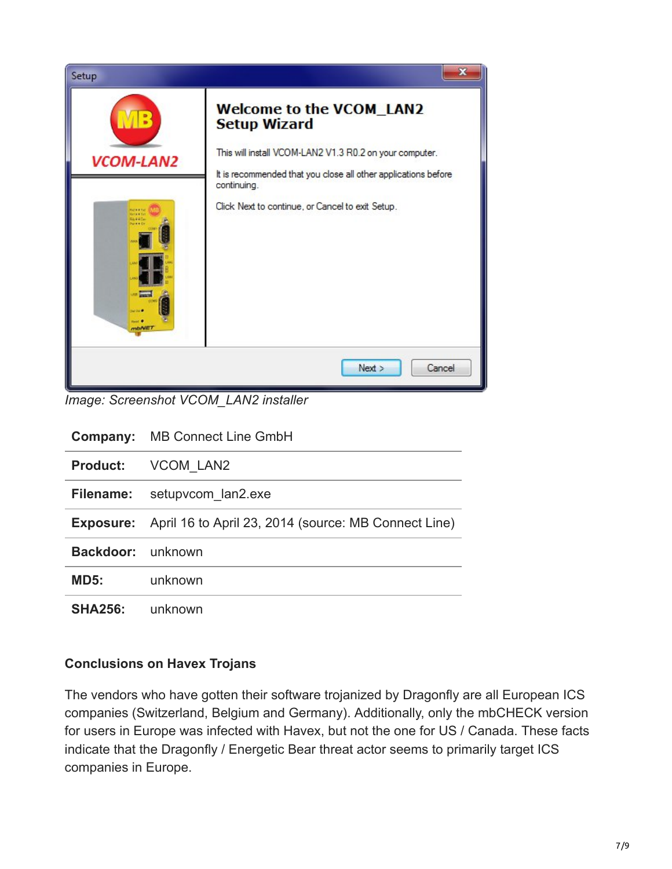

*Image: Screenshot VCOM\_LAN2 installer*

|                          | <b>Company:</b> MB Connect Line GmbH                 |
|--------------------------|------------------------------------------------------|
| <b>Product:</b>          | <b>VCOM LAN2</b>                                     |
| <b>Filename:</b>         | setupvcom lan2.exe                                   |
| <b>Exposure:</b>         | April 16 to April 23, 2014 (source: MB Connect Line) |
| <b>Backdoor:</b> unknown |                                                      |
| <b>MD5:</b>              | unknown                                              |
| <b>SHA256:</b>           | unknown                                              |

### **Conclusions on Havex Trojans**

The vendors who have gotten their software trojanized by Dragonfly are all European ICS companies (Switzerland, Belgium and Germany). Additionally, only the mbCHECK version for users in Europe was infected with Havex, but not the one for US / Canada. These facts indicate that the Dragonfly / Energetic Bear threat actor seems to primarily target ICS companies in Europe.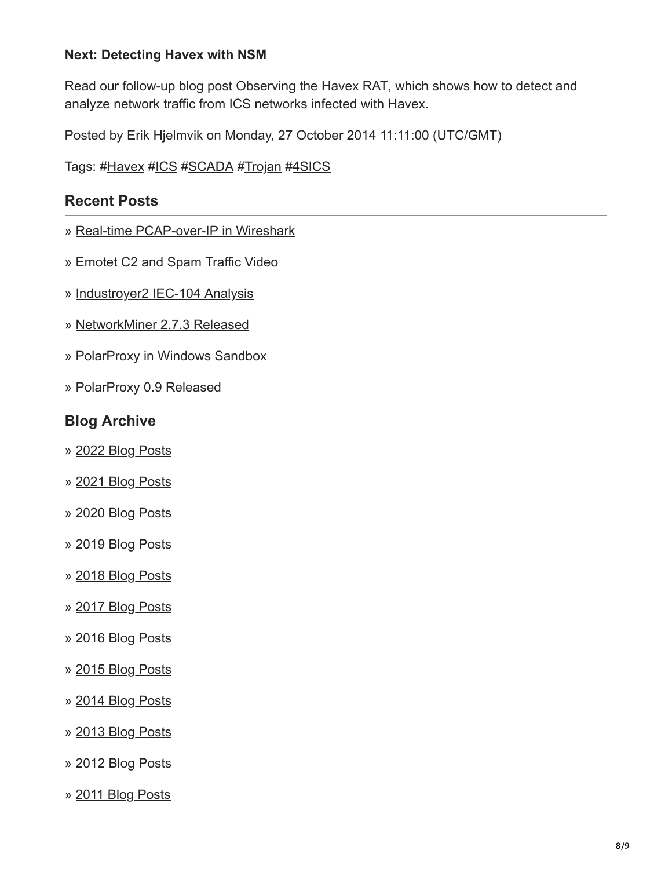### **Next: Detecting Havex with NSM**

Read our follow-up blog post [Observing the Havex RAT](http://netresec.com/?b=14BE342), which shows how to detect and analyze network traffic from ICS networks infected with Havex.

Posted by Erik Hjelmvik on Monday, 27 October 2014 11:11:00 (UTC/GMT)

Tags: #[Havex](http://www.netresec.com/?page=Blog&tag=Havex) #[ICS](http://www.netresec.com/?page=Blog&tag=ICS) #[SCADA](http://www.netresec.com/?page=Blog&tag=SCADA) [#Trojan](http://www.netresec.com/?page=Blog&tag=Trojan) [#4SICS](http://www.netresec.com/?page=Blog&tag=4SICS)

## **Recent Posts**

- » [Real-time PCAP-over-IP in Wireshark](http://www.netresec.com/?page=Blog&month=2022-05&post=Real-time-PCAP-over-IP-in-Wireshark)
- » [Emotet C2 and Spam Traffic Video](http://www.netresec.com/?page=Blog&month=2022-05&post=Emotet-C2-and-Spam-Traffic-Video)
- » [Industroyer2 IEC-104 Analysis](http://www.netresec.com/?page=Blog&month=2022-04&post=Industroyer2-IEC-104-Analysis)
- » [NetworkMiner 2.7.3 Released](http://www.netresec.com/?page=Blog&month=2022-04&post=NetworkMiner-2-7-3-Released)
- » [PolarProxy in Windows Sandbox](http://www.netresec.com/?page=Blog&month=2022-01&post=PolarProxy-in-Windows-Sandbox)
- » [PolarProxy 0.9 Released](http://www.netresec.com/?page=Blog&month=2022-01&post=PolarProxy-0-9-Released)

## **Blog Archive**

- » [2022 Blog Posts](http://www.netresec.com/?page=Blog&year=2022)
- » [2021 Blog Posts](http://www.netresec.com/?page=Blog&year=2021)
- » [2020 Blog Posts](http://www.netresec.com/?page=Blog&year=2020)
- » [2019 Blog Posts](http://www.netresec.com/?page=Blog&year=2019)
- » [2018 Blog Posts](http://www.netresec.com/?page=Blog&year=2018)
- » [2017 Blog Posts](http://www.netresec.com/?page=Blog&year=2017)
- » [2016 Blog Posts](http://www.netresec.com/?page=Blog&year=2016)
- » [2015 Blog Posts](http://www.netresec.com/?page=Blog&year=2015)
- » [2014 Blog Posts](http://www.netresec.com/?page=Blog&year=2014)
- » [2013 Blog Posts](http://www.netresec.com/?page=Blog&year=2013)
- » [2012 Blog Posts](http://www.netresec.com/?page=Blog&year=2012)
- » [2011 Blog Posts](http://www.netresec.com/?page=Blog&year=2011)